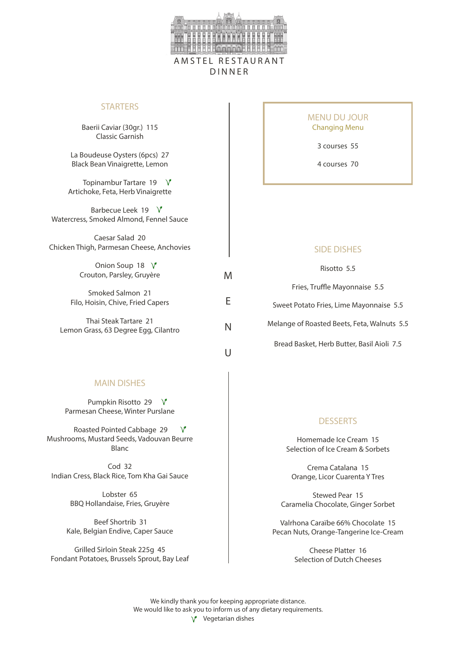

M

E

N

 $\cup$ 

#### **STARTERS**

Baerii Caviar (30gr.) 115 Classic Garnish

La Boudeuse Oysters (6pcs) 27 Black Bean Vinaigrette, Lemon

Topinambur Tartare 19  $\sqrt{ }$ Artichoke, Feta, Herb Vinaigrette

Barbecue Leek 19 V Watercress, Smoked Almond, Fennel Sauce

Caesar Salad 20 Chicken Thigh, Parmesan Cheese, Anchovies

> Onion Soup 18  $\sqrt{ }$ Crouton, Parsley, Gruyère

Smoked Salmon 21 Filo, Hoisin, Chive, Fried Capers

Thai Steak Tartare 21 Lemon Grass, 63 Degree Egg, Cilantro MENU DU JOUR Changing Menu

3 courses 55

4 courses 70

Risotto 5.5 Fries, Truffle Mayonnaise 5.5 Sweet Potato Fries, Lime Mayonnaise 5.5 Melange of Roasted Beets, Feta, Walnuts 5.5 Bread Basket, Herb Butter, Basil Aioli 7.5

#### MAIN DISHES

Pumpkin Risotto 29 V Parmesan Cheese, Winter Purslane

 Roasted Pointed Cabbage 29  $\vee$ Mushrooms, Mustard Seeds, Vadouvan Beurre Blanc

 $C<sub>od</sub>$  32 Indian Cress, Black Rice, Tom Kha Gai Sauce

> Lobster 65 BBQ Hollandaise, Fries, Gruyère

 Beef Shortrib 31 Kale, Belgian Endive, Caper Sauce

Grilled Sirloin Steak 225g 45 Fondant Potatoes, Brussels Sprout, Bay Leaf

#### **DESSERTS**

Homemade Ice Cream 15 Selection of Ice Cream & Sorbets

Crema Catalana 15 Orange, Licor Cuarenta Y Tres

Stewed Pear 15 Caramelia Chocolate, Ginger Sorbet

Valrhona Caraïbe 66% Chocolate 15 Pecan Nuts, Orange-Tangerine Ice-Cream

> Cheese Platter 16 Selection of Dutch Cheeses

We kindly thank you for keeping appropriate distance. We would like to ask you to inform us of any dietary requirements. Vegetarian dishes  $\sqrt{ }$